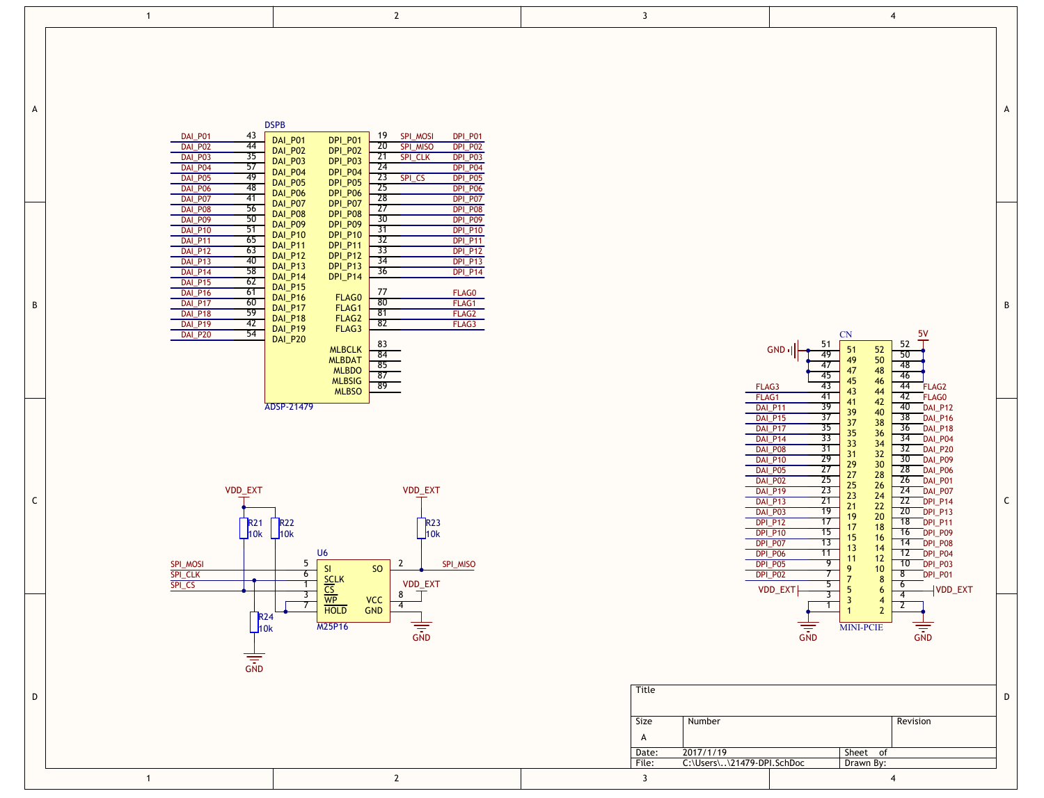|             | $\overline{1}$                                                                                                                                                                                                                   | $\mathbf{2}$                                                                                                                                                                                                                                                                                                                                                                                                                                                                                                                                                                                                                                                                       | $\overline{\mathbf{3}}$                                           |                                                                                                                                                                                                                                                                                                                                                            | $\overline{4}$                                                                                                                                                                                                                                                                                                                                                                                                                                                                                                                                                                                                |
|-------------|----------------------------------------------------------------------------------------------------------------------------------------------------------------------------------------------------------------------------------|------------------------------------------------------------------------------------------------------------------------------------------------------------------------------------------------------------------------------------------------------------------------------------------------------------------------------------------------------------------------------------------------------------------------------------------------------------------------------------------------------------------------------------------------------------------------------------------------------------------------------------------------------------------------------------|-------------------------------------------------------------------|------------------------------------------------------------------------------------------------------------------------------------------------------------------------------------------------------------------------------------------------------------------------------------------------------------------------------------------------------------|---------------------------------------------------------------------------------------------------------------------------------------------------------------------------------------------------------------------------------------------------------------------------------------------------------------------------------------------------------------------------------------------------------------------------------------------------------------------------------------------------------------------------------------------------------------------------------------------------------------|
| Α           | DAI_P01<br>43<br>DAI_P02<br>44<br>35<br>DAI_P03<br>57<br>DAI_P04<br>-49<br>DAI_P05<br>48<br>DAI_P06<br>41<br>DAI_P07                                                                                                             | <b>DSPB</b><br>19 SPI_MOSI<br>DPI_P01<br>DAI_P01<br>DPI_P01<br>20 SPI_MISO<br><b>DPI_P02</b><br>DPI_P02<br>DAI_P02<br>21 SPI_CLK<br>DPI_P03<br>$DPI_P03$<br>DAI_P03<br>$\overline{24}$<br>DPI_P04<br>$DPI$ $P04$<br>$DAI$ $P04$<br>23 SPI_CS<br>DPI_P05<br>DAI_P05<br>$\overline{25}$<br>DPI_P06<br>DAI_P06<br>- 28<br>DPI_P07                                                                                                                                                                                                                                                                                                                                                     |                                                                   |                                                                                                                                                                                                                                                                                                                                                            | A                                                                                                                                                                                                                                                                                                                                                                                                                                                                                                                                                                                                             |
| В           | 56<br>DAI_P08<br>50<br>DAI_P09<br>DAI_P10<br>51<br>65<br>DAI_P11<br>DAI_P12<br>63<br>DAI_P13<br>40<br>58<br>DAI_P14<br>62<br>DAI_P15<br><b>DAI_P16</b><br>61<br>DAI_P17<br>60<br>59<br>DAI_P18<br>DAI_P19<br>42<br>54<br>DAI_P20 | DPI_P05<br>DPI_P06<br>DPI_P07<br>DPI_P09<br>DPI_P09<br>DAI_P07<br>$\overline{27}$<br>DPI_P08<br>DAI_P08<br>30<br><b>DPI_P09</b><br>DAI_P09<br>$\overline{31}$<br><b>DPI_P10</b><br>$DAI$ $P10$<br>DPI_P10<br>DPI_P11<br>32<br>DPI_P11<br>DAI_P11<br>33<br>DPI_P12<br>DPI_P12<br>DPI_P13<br>DPI_P14<br>$DAI$ $P12$<br>- 34<br>DPI_P13<br>DAI_P13<br>36<br>DPI_P14<br>DAI_P14<br>DAI_P15<br>77<br>FLAG0<br>DAI_P16<br>FLAG0<br>80<br>FLAG1<br>FLAG1<br>DAI_P17<br>$\overline{81}$<br>FLAG <sub>2</sub><br>FLAG <sub>2</sub><br>DAI_P18<br>82<br>FLAG3<br>FLAG3<br>DAI_P19<br>$DAI$ $P20$<br>83<br>MLBCLK<br>MLBDAT<br>MLBDO<br>84<br>85<br>87<br><b>MLBSIG</b><br>89<br><b>MLBSO</b> |                                                                   | 51<br>$GND$ <sup>1</sup><br>49<br>47<br>45<br>43<br>FLAG3                                                                                                                                                                                                                                                                                                  | B<br>$\frac{5V}{T}$<br>CN<br>52<br>51<br>$\frac{52}{50}$<br>50<br>49<br>-48<br>47<br>48<br>46<br>45<br>46<br>44<br>FLAG <sub>2</sub><br>43<br>44                                                                                                                                                                                                                                                                                                                                                                                                                                                              |
| $\mathsf C$ | VDD_EXT<br><b>R21</b><br>$\perp$ 10k<br>SPI_MOSI<br><b>SPI_CLK</b><br>SPI_CS                                                                                                                                                     | ADSP-21479<br>VDD_EXT<br><b>R22</b><br><b>R23</b><br>10k<br>10k<br>U <sub>6</sub><br>5<br>$\overline{2}$<br>SPI_MISO<br>SI<br><b>SO</b><br>$6\overline{6}$<br>$\overline{1}$<br>VDD_EXT                                                                                                                                                                                                                                                                                                                                                                                                                                                                                            |                                                                   | FLAG1<br>41<br>39<br>DAI_P11<br>37<br><b>DAI_P15</b><br>35<br>DAI_P17<br>$\overline{33}$<br>DAI_P14<br>31<br>DAI_P08<br>29<br><b>DAI_P10</b><br>27<br>DAI_P05<br>DAI_P02<br>25<br>23<br>DAI_P19<br>21<br>DAI_P13<br>19<br>DAI_P03<br>17<br>DPI_P12<br>15<br><b>DPI_P10</b><br>$\overline{13}$<br>DPI_P07<br>DPI_P06<br>11<br>DPI_P05<br>DPI_P02<br>VDD_EXT | 42<br>FLAG0<br>42<br>41<br>40<br>DAI_P12<br>39<br>40<br>38 DAI_P16<br>37<br>38<br>DAI_P18<br>36<br>35<br>36<br>34<br>DAI_P04<br>33<br>34<br>32<br>DAI_P20<br>32<br>31<br>30<br>DAI_P09<br>30 <sup>°</sup><br>29<br>28<br>DAI_P06<br>27<br>28<br>26<br>DAI_P01<br>25<br>26<br>24<br>DAI_P07<br>23<br>24<br>C<br>22<br>DPLP14<br>22<br>21<br>20<br>DPI_P13<br>20<br>19<br>18<br>DPLP11<br>17<br>18<br>DPI_P09<br>16<br>16<br>15<br>14<br>DPI_P08<br>13<br>14<br>12<br>DPI_P04<br>12<br>11<br>9<br>DPLP03<br>10<br>10<br>9<br>7<br>$\overline{\mathbf{8}}$<br>DPI_P01<br>8<br>$5^{-}$<br>6<br>VDD_EXT<br>-5<br>6 |
| D           | $R10k$<br>$\overline{\overline{\text{GND}}}$<br>$\overline{1}$                                                                                                                                                                   | HOLD<br>HOLD<br>HOLD<br>$\frac{3}{7}$<br>$\top$<br>8<br><b>VCC</b><br>GND<br>$\overline{4}$<br>$\frac{1}{\sin \theta}$<br>M25P16<br>$\mathbf{2}$                                                                                                                                                                                                                                                                                                                                                                                                                                                                                                                                   | Title<br>Size<br>$\overline{A}$<br>Date:<br>File:<br>$\mathbf{3}$ | $\frac{1}{\sin b}$<br>Number<br>2017/1/19<br>C:\Users\\21479-DPI.SchDoc                                                                                                                                                                                                                                                                                    | $\overline{3}$<br>$\overline{4}$<br>3<br>$\overline{4}$<br>$\overline{2}$<br>$\overline{1}$<br>$\overline{2}$<br><b>MINI-PCIE</b><br>D<br>Revision<br>Sheet of<br>Drawn By:<br>4                                                                                                                                                                                                                                                                                                                                                                                                                              |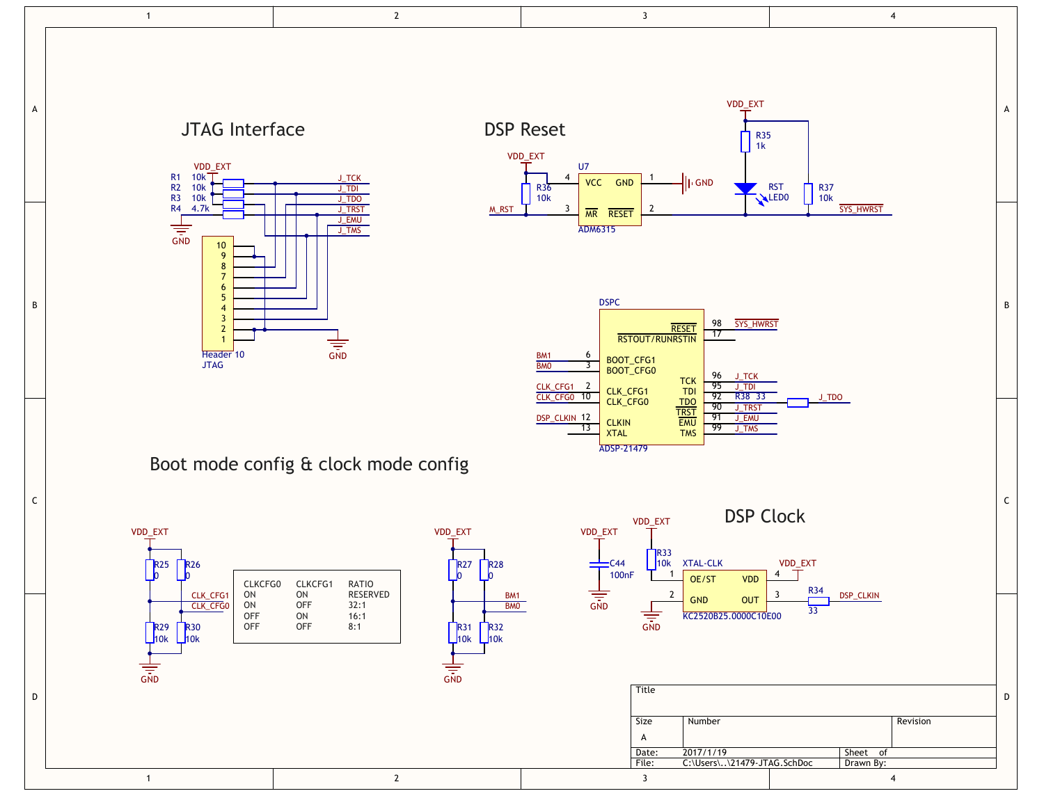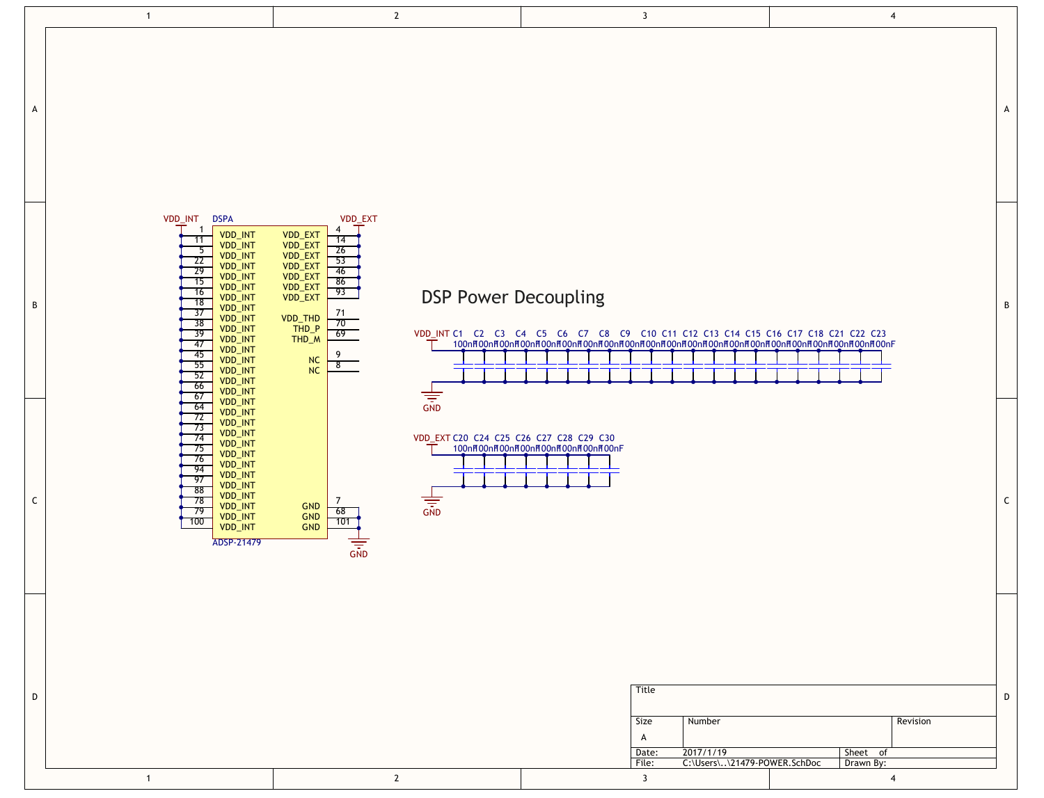|   | $\overline{1}$                                                                                                                                                                                                                                                                                                                                                                                  | $\overline{2}$                                                                                                                                                                                                                                          | $\overline{\mathbf{3}}$                                                                                       | $\overline{4}$                                           |
|---|-------------------------------------------------------------------------------------------------------------------------------------------------------------------------------------------------------------------------------------------------------------------------------------------------------------------------------------------------------------------------------------------------|---------------------------------------------------------------------------------------------------------------------------------------------------------------------------------------------------------------------------------------------------------|---------------------------------------------------------------------------------------------------------------|----------------------------------------------------------|
| A |                                                                                                                                                                                                                                                                                                                                                                                                 |                                                                                                                                                                                                                                                         |                                                                                                               | A                                                        |
| B | VDD_INT<br><b>DSPA</b><br>$\overline{1}$<br><b>VDD_INT</b><br>11<br><b>VDD_INT</b><br>$-5$<br>VDD_INT<br>- 22<br>VDD_INT<br>$\overline{29}$<br>VDD_INT<br>15<br>VDD_INT<br>16<br>VDD_INT<br>18<br><b>VDD_INT</b><br>$\overline{37}$<br>VDD_INT<br>38<br>VDD_INT<br>$\frac{1}{39}$<br>VDD_INT<br>-47<br><b>VDD_INT</b><br>45<br>VDD_INT<br>55<br>VDD_INT<br>52<br>VDD_INT<br>66<br>VDD_INT<br>67 | VDD_EXT<br>4<br>VDD_EXT<br>VDD_EXT<br>VDD_EXT<br>14<br>$\overline{26}$<br>$\frac{53}{46}$<br>VDD_EXT<br>VDD_EXT<br>86<br>VDD_EXT<br>VDD_EXT<br>93<br><b>DSP Power Decoupling</b><br>71<br>VDD_THD<br>70<br>$THD_P$<br>69<br>THD_M<br>9<br>NC<br>8<br>NC | VDD_INT C1 C2 C3 C4 C5 C6 C7 C8 C9 C10 C11 C12 C13 C14 C15 C16 C17 C18 C21 C22 C23                            | B                                                        |
| C | VDD_INT<br>64<br><b>VDD_INT</b><br>72<br>VDD_INT<br>73<br>VDD_INT<br>74<br>VDD_INT<br>75<br>VDD_INT<br>76<br>VDD_INT<br>94<br>VDD_INT<br>97<br>VDD_INT<br>88<br><b>VDD_INT</b><br>$\overline{78}$<br>VDD_INT<br>79<br>VDD_INT<br>100<br>VDD_INT<br>ADSP-21479                                                                                                                                   | $\frac{1}{\sqrt{2}}$<br>VDD_EXT C20 C24 C25 C26 C27 C28 C29 C30<br>7<br>$\sqrt{\frac{1}{\sqrt{2}}}$<br><b>GND</b><br>68<br>GND<br>101<br><b>GND</b>                                                                                                     | 100nH00nH00nH00nH00nH00nH00nH00nH00nF                                                                         | $\mathsf{C}$                                             |
| D | $\overline{1}$                                                                                                                                                                                                                                                                                                                                                                                  | $\overline{2}$                                                                                                                                                                                                                                          | Title<br>Size<br>Number<br>A<br>2017/1/19<br>Date:<br>C:\Users\\21479-POWER.SchDoc<br>File:<br>$\overline{3}$ | D<br>Revision<br>Sheet of<br>Drawn By:<br>$\overline{4}$ |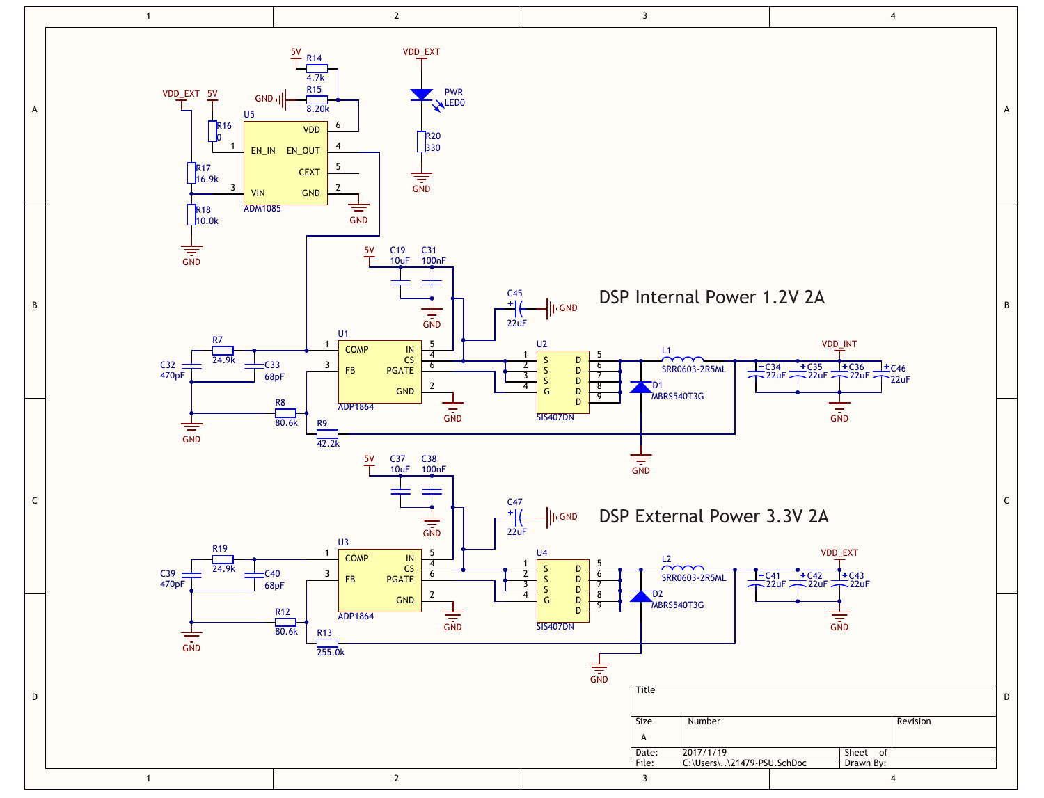